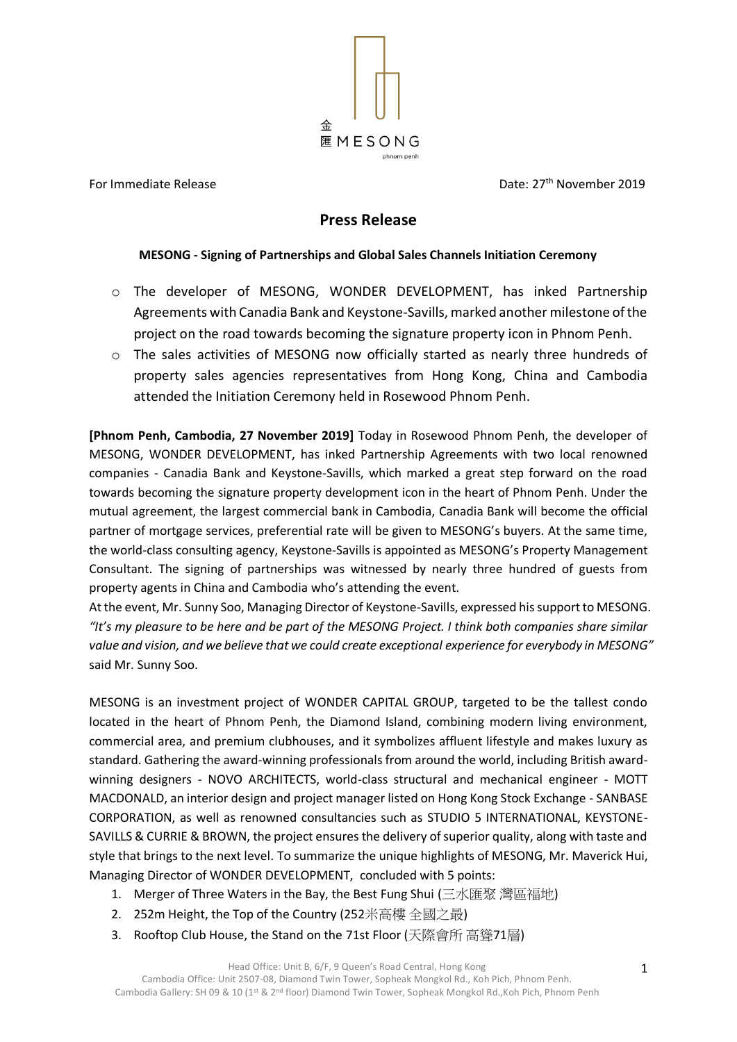

For Immediate Release

Date: 27<sup>th</sup> November 2019

# **Press Release**

### **MESONG - Signing of Partnerships and Global Sales Channels Initiation Ceremony**

- o The developer of MESONG, WONDER DEVELOPMENT, has inked Partnership Agreements with Canadia Bank and Keystone-Savills, marked another milestone of the project on the road towards becoming the signature property icon in Phnom Penh.
- $\circ$  The sales activities of MESONG now officially started as nearly three hundreds of property sales agencies representatives from Hong Kong, China and Cambodia attended the Initiation Ceremony held in Rosewood Phnom Penh.

**[Phnom Penh, Cambodia, 27 November 2019]** Today in Rosewood Phnom Penh, the developer of MESONG, WONDER DEVELOPMENT, has inked Partnership Agreements with two local renowned companies - Canadia Bank and Keystone-Savills, which marked a great step forward on the road towards becoming the signature property development icon in the heart of Phnom Penh. Under the mutual agreement, the largest commercial bank in Cambodia, Canadia Bank will become the official partner of mortgage services, preferential rate will be given to MESONG's buyers. At the same time, the world-class consulting agency, Keystone-Savills is appointed as MESONG's Property Management Consultant. The signing of partnerships was witnessed by nearly three hundred of guests from property agents in China and Cambodia who's attending the event.

At the event, Mr. Sunny Soo, Managing Director of Keystone-Savills, expressed his support to MESONG. *"It's my pleasure to be here and be part of the MESONG Project. I think both companies share similar value and vision, and we believe that we could create exceptional experience for everybody in MESONG"* said Mr. Sunny Soo.

MESONG is an investment project of WONDER CAPITAL GROUP, targeted to be the tallest condo located in the heart of Phnom Penh, the Diamond Island, combining modern living environment, commercial area, and premium clubhouses, and it symbolizes affluent lifestyle and makes luxury as standard. Gathering the award-winning professionals from around the world, including British awardwinning designers - NOVO ARCHITECTS, world-class structural and mechanical engineer - MOTT MACDONALD, an interior design and project manager listed on Hong Kong Stock Exchange - SANBASE CORPORATION, as well as renowned consultancies such as STUDIO 5 INTERNATIONAL, KEYSTONE-SAVILLS & CURRIE & BROWN, the project ensures the delivery of superior quality, along with taste and style that brings to the next level. To summarize the unique highlights of MESONG, Mr. Maverick Hui, Managing Director of WONDER DEVELOPMENT, concluded with 5 points:

- 1. Merger of Three Waters in the Bay, the Best Fung Shui (三水匯聚 灣區福地)
- 2. 252m Height, the Top of the Country (252米高樓 全國之最)
- 3. Rooftop Club House, the Stand on the 71st Floor (天際會所 高聳71層)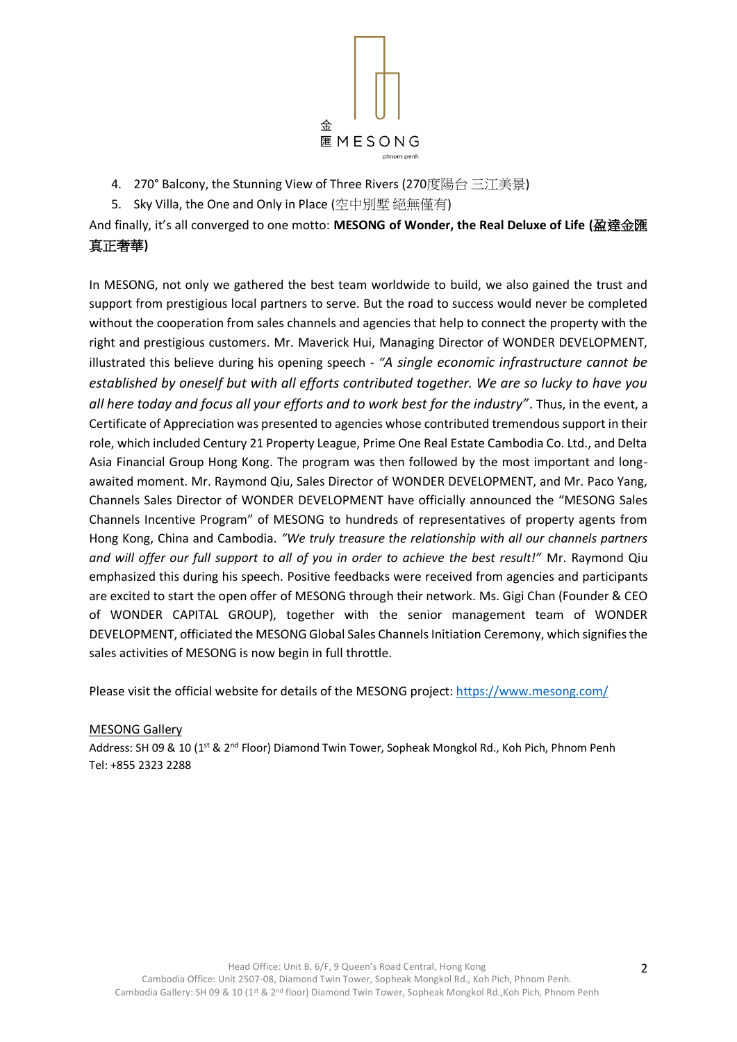

- 4. 270° Balcony, the Stunning View of Three Rivers (270度陽台 三江美景)
- 5. Sky Villa, the One and Only in Place (空中別墅 絕無僅有)

And finally, it's all converged to one motto: **MESONG of Wonder, the Real Deluxe of Life (**盈達金匯 真正奢華**)**

In MESONG, not only we gathered the best team worldwide to build, we also gained the trust and support from prestigious local partners to serve. But the road to success would never be completed without the cooperation from sales channels and agencies that help to connect the property with the right and prestigious customers. Mr. Maverick Hui, Managing Director of WONDER DEVELOPMENT, illustrated this believe during his opening speech - *"A single economic infrastructure cannot be established by oneself but with all efforts contributed together. We are so lucky to have you all here today and focus all your efforts and to work best for the industry"*. Thus, in the event, a Certificate of Appreciation was presented to agencies whose contributed tremendous support in their role, which included Century 21 Property League, Prime One Real Estate Cambodia Co. Ltd., and Delta Asia Financial Group Hong Kong. The program was then followed by the most important and longawaited moment. Mr. Raymond Qiu, Sales Director of WONDER DEVELOPMENT, and Mr. Paco Yang, Channels Sales Director of WONDER DEVELOPMENT have officially announced the "MESONG Sales Channels Incentive Program" of MESONG to hundreds of representatives of property agents from Hong Kong, China and Cambodia. *"We truly treasure the relationship with all our channels partners and will offer our full support to all of you in order to achieve the best result!"* Mr. Raymond Qiu emphasized this during his speech. Positive feedbacks were received from agencies and participants are excited to start the open offer of MESONG through their network. Ms. Gigi Chan (Founder & CEO of WONDER CAPITAL GROUP), together with the senior management team of WONDER DEVELOPMENT, officiated the MESONG Global Sales Channels Initiation Ceremony, which signifies the sales activities of MESONG is now begin in full throttle.

Please visit the official website for details of the MESONG project: <https://www.mesong.com/>

MESONG Gallery

Address: SH 09 & 10 (1<sup>st</sup> & 2<sup>nd</sup> Floor) Diamond Twin Tower, Sopheak Mongkol Rd., Koh Pich, Phnom Penh Tel: +855 2323 2288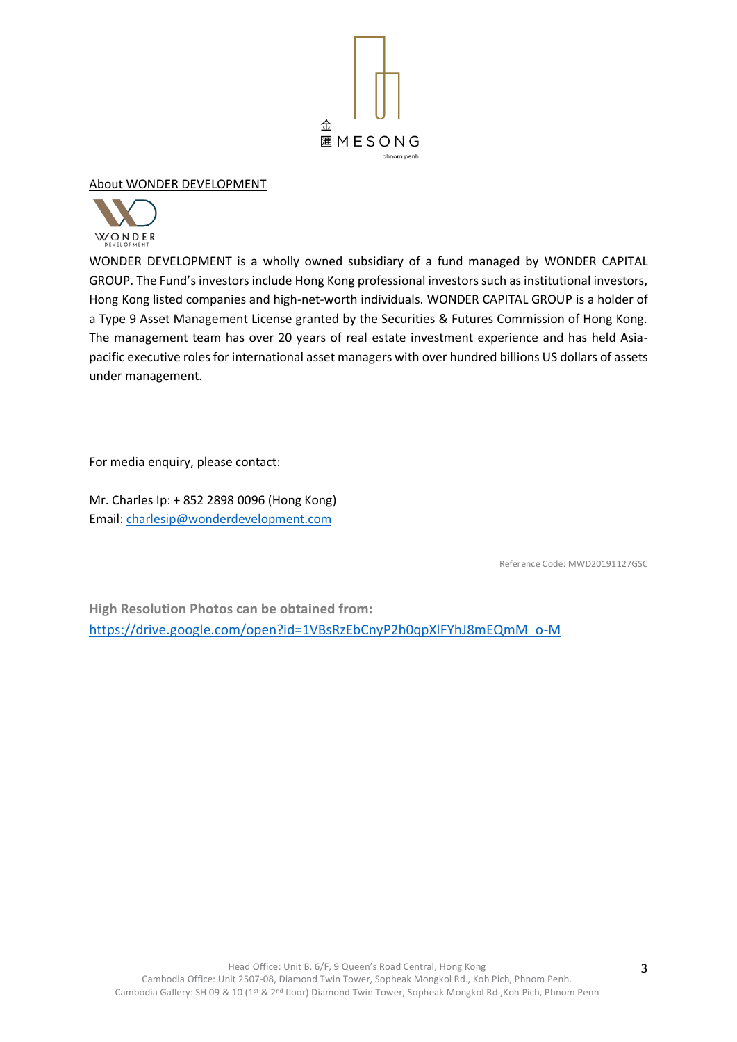

## About WONDER DEVELOPMENT



WONDER DEVELOPMENT is a wholly owned subsidiary of a fund managed by WONDER CAPITAL GROUP. The Fund's investors include Hong Kong professional investors such as institutional investors, Hong Kong listed companies and high-net-worth individuals. WONDER CAPITAL GROUP is a holder of a Type 9 Asset Management License granted by the Securities & Futures Commission of Hong Kong. The management team has over 20 years of real estate investment experience and has held Asiapacific executive roles for international asset managers with over hundred billions US dollars of assets under management.

For media enquiry, please contact:

Mr. Charles Ip: + 852 2898 0096 (Hong Kong) Email: [charlesip@wonderdevelopment.com](mailto:charlesip@wonderdevelopment.com)

Reference Code: MWD20191127GSC

**High Resolution Photos can be obtained from:** [https://drive.google.com/open?id=1VBsRzEbCnyP2h0qpXlFYhJ8mEQmM\\_o-M](https://drive.google.com/open?id=1VBsRzEbCnyP2h0qpXlFYhJ8mEQmM_o-M)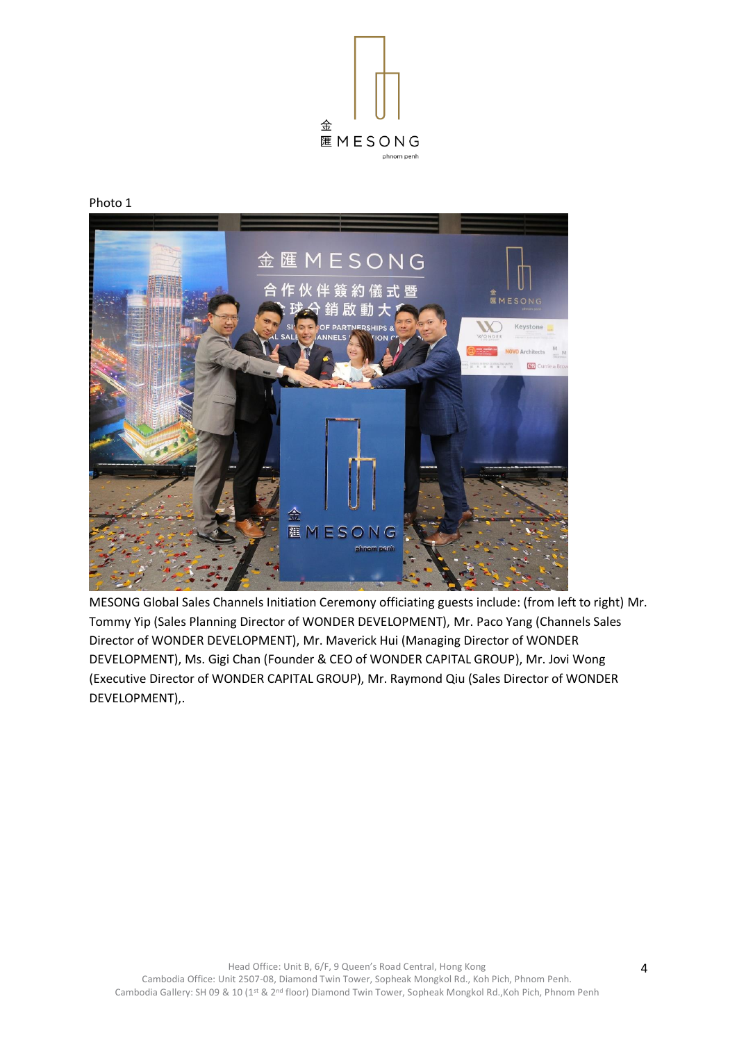

Photo 1



MESONG Global Sales Channels Initiation Ceremony officiating guests include: (from left to right) Mr. Tommy Yip (Sales Planning Director of WONDER DEVELOPMENT), Mr. Paco Yang (Channels Sales Director of WONDER DEVELOPMENT), Mr. Maverick Hui (Managing Director of WONDER DEVELOPMENT), Ms. Gigi Chan (Founder & CEO of WONDER CAPITAL GROUP), Mr. Jovi Wong (Executive Director of WONDER CAPITAL GROUP), Mr. Raymond Qiu (Sales Director of WONDER DEVELOPMENT),.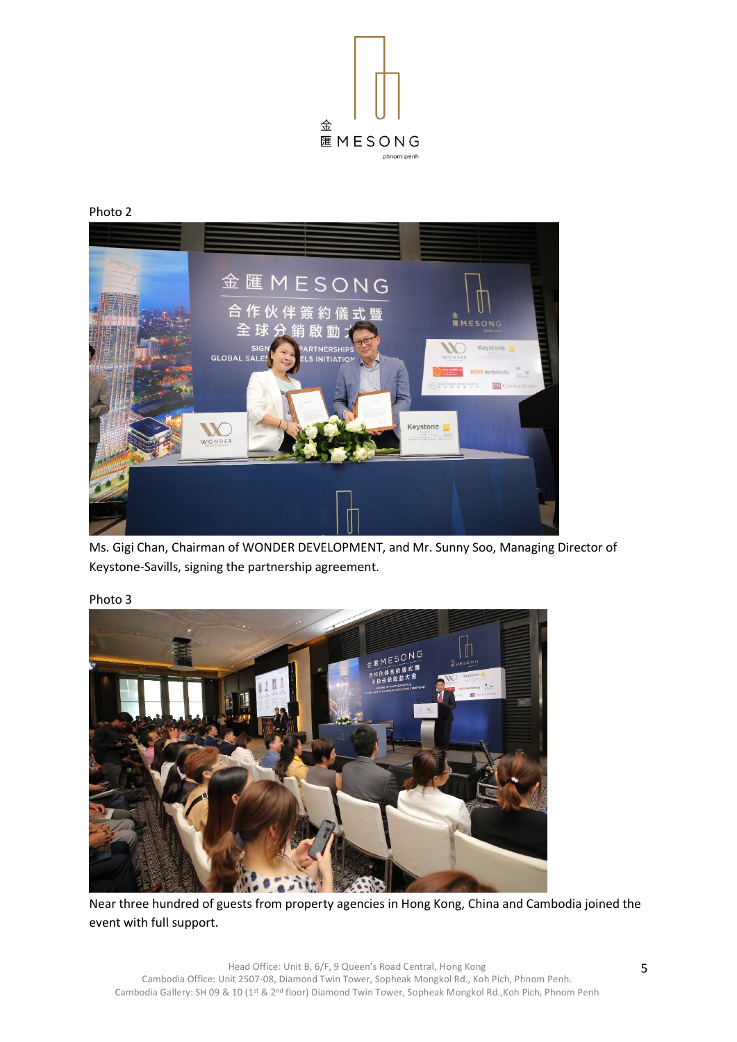

#### Photo 2



Ms. Gigi Chan, Chairman of WONDER DEVELOPMENT, and Mr. Sunny Soo, Managing Director of Keystone-Savills, signing the partnership agreement.



### Photo 3

Near three hundred of guests from property agencies in Hong Kong, China and Cambodia joined the event with full support.